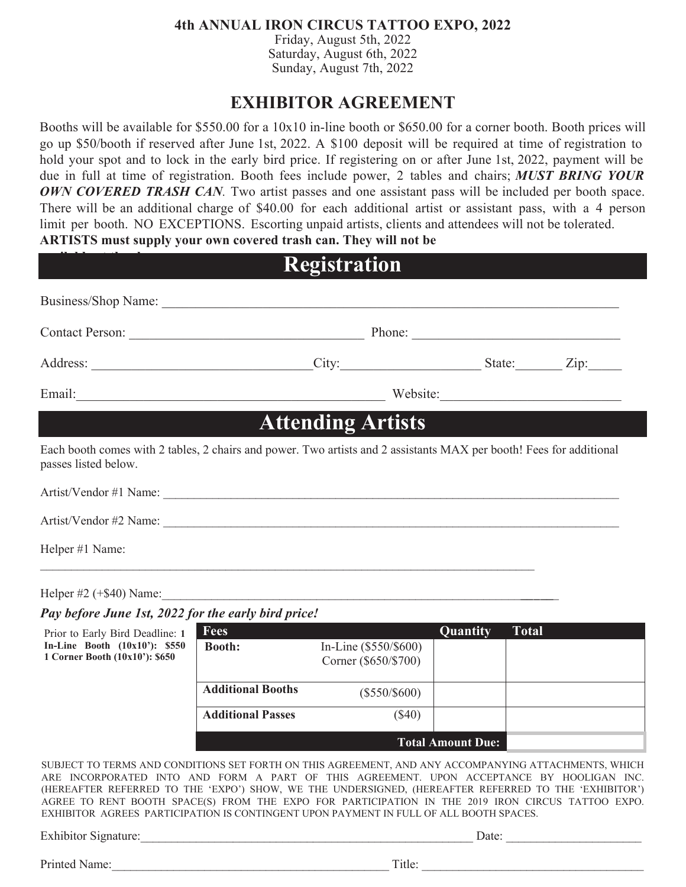## **4th ANNUAL IRON CIRCUS TATTOO EXPO, 2022**

Friday, August 5th, 2022 Saturday, August 6th, 2022 Sunday, August 7th, 2022

# **EXHIBITOR AGREEMENT**

Booths will be available for \$550.00 for a 10x10 in-line booth or \$650.00 for a corner booth. Booth prices will go up \$50/booth if reserved after June 1st, 2022. A \$100 deposit will be required at time of registration to hold your spot and to lock in the early bird price. If registering on or after June 1st, 2022, payment will be due in full at time of registration. Booth fees include power, 2 tables and chairs; *MUST BRING YOUR OWN COVERED TRASH CAN.* Two artist passes and one assistant pass will be included per booth space. There will be an additional charge of \$40.00 for each additional artist or assistant pass, with a 4 person limit per booth. NO EXCEPTIONS. Escorting unpaid artists, clients and attendees will not be tolerated. **ARTISTS must supply your own covered trash can. They will not be** 

# **Registration**

| Business/Shop Name:                                                                                                                         |                          |          |  |
|---------------------------------------------------------------------------------------------------------------------------------------------|--------------------------|----------|--|
| Contact Person:                                                                                                                             |                          | Phone:   |  |
|                                                                                                                                             | City: City: City: City:  |          |  |
| Email: The Commission of the Commission of the Commission of the Commission of the Commission of the Commission                             |                          | Website: |  |
|                                                                                                                                             | <b>Attending Artists</b> |          |  |
| Each booth comes with 2 tables, 2 chairs and power. Two artists and 2 assistants MAX per booth! Fees for additional<br>passes listed below. |                          |          |  |
|                                                                                                                                             |                          |          |  |
|                                                                                                                                             |                          |          |  |
| Helper #1 Name:                                                                                                                             |                          |          |  |

Helper  $\#2$  (+\$40) Name:

**available at the show.**

Prior to Early Bird Deadline: **1 In-Line Booth (10x10'): \$550 1 Corner Booth (10x10'): \$650** 

### *Pay before June 1st, 2022 for the early bird price!*

| <b>Fees</b>              |                                                 | Quantity | <b>Total</b> |
|--------------------------|-------------------------------------------------|----------|--------------|
| <b>Booth:</b>            | In-Line $(\$550/\$600)$<br>Corner (\$650/\$700) |          |              |
| <b>Additional Booths</b> | $(\$550/\$600)$                                 |          |              |
| <b>Additional Passes</b> | $\$40)$                                         |          |              |
| <b>Total Amount Due:</b> |                                                 |          |              |

SUBJECT TO TERMS AND CONDITIONS SET FORTH ON THIS AGREEMENT, AND ANY ACCOMPANYING ATTACHMENTS, WHICH ARE INCORPORATED INTO AND FORM A PART OF THIS AGREEMENT. UPON ACCEPTANCE BY HOOLIGAN INC. (HEREAFTER REFERRED TO THE 'EXPO') SHOW, WE THE UNDERSIGNED, (HEREAFTER REFERRED TO THE 'EXHIBITOR') AGREE TO RENT BOOTH SPACE(S) FROM THE EXPO FOR PARTICIPATION IN THE 2019 IRON CIRCUS TATTOO EXPO. EXHIBITOR AGREES PARTICIPATION IS CONTINGENT UPON PAYMENT IN FULL OF ALL BOOTH SPACES.

Exhibitor Signature:\_\_\_\_\_\_\_\_\_\_\_\_\_\_\_\_\_\_\_\_\_\_\_\_\_\_\_\_\_\_\_\_\_\_\_\_\_\_\_\_\_\_\_\_\_\_\_\_\_\_\_\_\_\_ Date: \_\_\_\_\_\_\_\_\_\_\_\_\_\_\_\_\_\_\_\_\_\_

Printed Name: Title: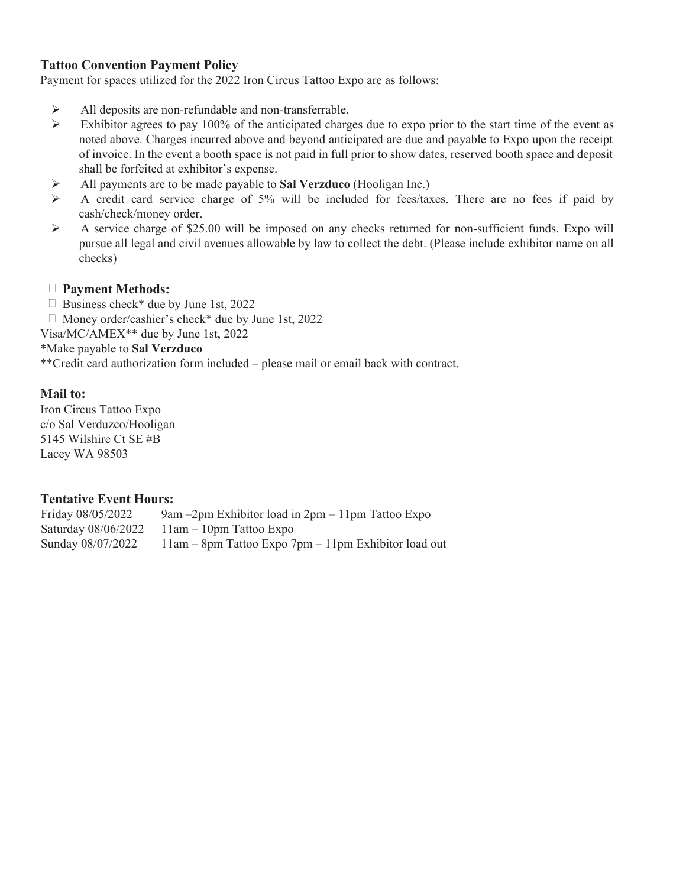#### **Tattoo Convention Payment Policy**

Payment for spaces utilized for the 2022 Iron Circus Tattoo Expo are as follows:

- All deposits are non-refundable and non-transferrable.<br>  $\triangleright$  Exhibitor agrees to pay 100% of the anticipated charge
- Exhibitor agrees to pay 100% of the anticipated charges due to expo prior to the start time of the event as noted above. Charges incurred above and beyond anticipated are due and payable to Expo upon the receipt of invoice. In the event a booth space is not paid in full prior to show dates, reserved booth space and deposit shall be forfeited at exhibitor's expense.
- All payments are to be made payable to **Sal Verzduco** (Hooligan Inc.)
- $\triangleright$  A credit card service charge of 5% will be included for fees/taxes. There are no fees if paid by cash/check/money order.
- $\triangleright$  A service charge of \$25.00 will be imposed on any checks returned for non-sufficient funds. Expo will pursue all legal and civil avenues allowable by law to collect the debt. (Please include exhibitor name on all checks)
- **Payment Methods:**
- $\Box$  Business check\* due by June 1st, 2022
- $\Box$  Money order/cashier's check\* due by June 1st, 2022
- Visa/MC/AMEX\*\* due by June 1st, 2022

\*Make payable to **Sal Verzduco**

\*\*Credit card authorization form included – please mail or email back with contract.

#### **Mail to:**

Iron Circus Tattoo Expo c/o Sal Verduzco/Hooligan 5145 Wilshire Ct SE #B Lacey WA 98503

#### **Tentative Event Hours:**

Friday 08/05/2022 Saturday 08/06/2022 Sunday 08/07/2022 9am –2pm Exhibitor load in 2pm – 11pm Tattoo Expo 11am – 10pm Tattoo Expo 11am – 8pm Tattoo Expo 7pm – 11pm Exhibitor load out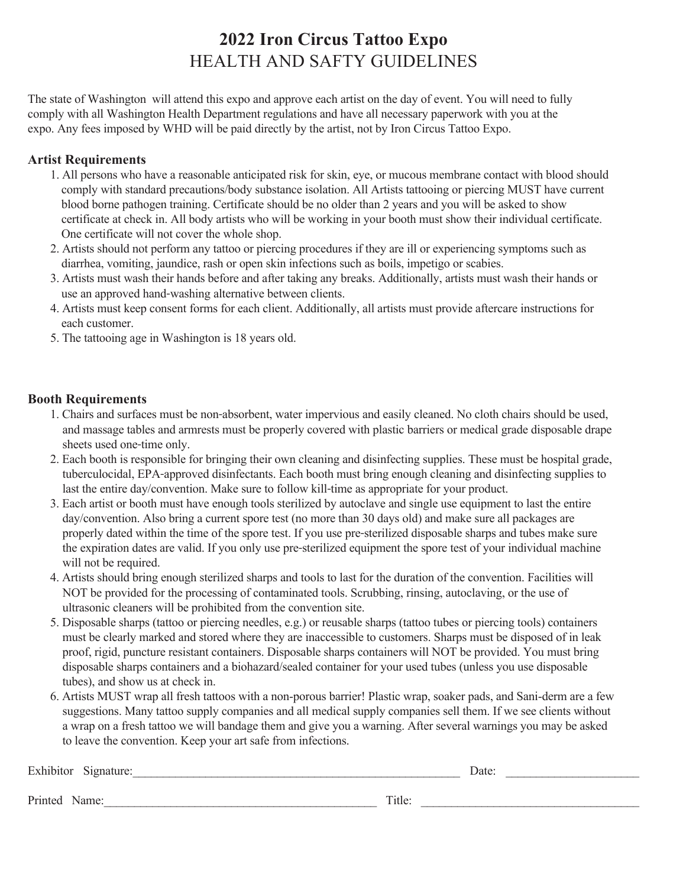# **2022 Iron Circus Tattoo Expo** HEALTH AND SAFTY GUIDELINES

The state of Washington will attend this expo and approve each artist on the day of event. You will need to fully comply with all Washington Health Department regulations and have all necessary paperwork with you at the expo. Any fees imposed by WHD will be paid directly by the artist, not by Iron Circus Tattoo Expo.

## **Artist Requirements**

- 1. All persons who have a reasonable anticipated risk for skin, eye, or mucous membrane contact with blood should comply with standard precautions/body substance isolation. All Artists tattooing or piercing MUST have current blood borne pathogen training. Certificate should be no older than 2 years and you will be asked to show certificate at check in. All body artists who will be working in your booth must show their individual certificate. One certificate will not cover the whole shop.
- 2. Artists should not perform any tattoo or piercing procedures if they are ill or experiencing symptoms such as diarrhea, vomiting, jaundice, rash or open skin infections such as boils, impetigo or scabies.
- 3. Artists must wash their hands before and after taking any breaks. Additionally, artists must wash their hands or use an approved hand‐washing alternative between clients.
- 4. Artists must keep consent forms for each client. Additionally, all artists must provide aftercare instructions for each customer.
- 5. The tattooing age in Washington is 18 years old.

### **Booth Requirements**

- 1. Chairs and surfaces must be non‐absorbent, water impervious and easily cleaned. No cloth chairs should be used, and massage tables and armrests must be properly covered with plastic barriers or medical grade disposable drape sheets used one-time only.
- 2. Each booth is responsible for bringing their own cleaning and disinfecting supplies. These must be hospital grade, tuberculocidal, EPA‐approved disinfectants. Each booth must bring enough cleaning and disinfecting supplies to last the entire day/convention. Make sure to follow kill-time as appropriate for your product.
- 3. Each artist or booth must have enough tools sterilized by autoclave and single use equipment to last the entire day/convention. Also bring a current spore test (no more than 30 days old) and make sure all packages are properly dated within the time of the spore test. If you use pre‐sterilized disposable sharps and tubes make sure the expiration dates are valid. If you only use pre-sterilized equipment the spore test of your individual machine will not be required.
- 4. Artists should bring enough sterilized sharps and tools to last for the duration of the convention. Facilities will NOT be provided for the processing of contaminated tools. Scrubbing, rinsing, autoclaving, or the use of ultrasonic cleaners will be prohibited from the convention site.
- 5. Disposable sharps (tattoo or piercing needles, e.g.) or reusable sharps (tattoo tubes or piercing tools) containers must be clearly marked and stored where they are inaccessible to customers. Sharps must be disposed of in leak proof, rigid, puncture resistant containers. Disposable sharps containers will NOT be provided. You must bring disposable sharps containers and a biohazard/sealed container for your used tubes (unless you use disposable tubes), and show us at check in.
- 6. Artists MUST wrap all fresh tattoos with a non-porous barrier! Plastic wrap, soaker pads, and Sani-derm are a few suggestions. Many tattoo supply companies and all medical supply companies sell them. If we see clients without a wrap on a fresh tattoo we will bandage them and give you a warning. After several warnings you may be asked to leave the convention. Keep your art safe from infections.

| Exhibitor Signature: |        | Date: |  |
|----------------------|--------|-------|--|
| Printed Name:        | Title: |       |  |